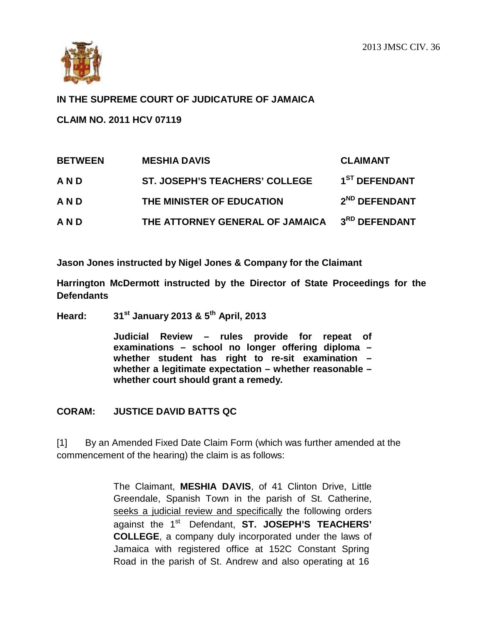

# **IN THE SUPREME COURT OF JUDICATURE OF JAMAICA**

**CLAIM NO. 2011 HCV 07119**

| <b>BETWEEN</b> | <b>MESHIA DAVIS</b>                   | <b>CLAIMANT</b>           |
|----------------|---------------------------------------|---------------------------|
| AND            | <b>ST. JOSEPH'S TEACHERS' COLLEGE</b> | 1 <sup>ST</sup> DEFENDANT |
| AND            | THE MINISTER OF EDUCATION             | 2 <sup>ND</sup> DEFENDANT |
| AND            | THE ATTORNEY GENERAL OF JAMAICA       | 3RD DEFENDANT             |

**Jason Jones instructed by Nigel Jones & Company for the Claimant**

**Harrington McDermott instructed by the Director of State Proceedings for the Defendants**

**Heard: 31st January 2013 & 5th April, 2013**

**Judicial Review – rules provide for repeat of examinations – school no longer offering diploma – whether student has right to re-sit examination – whether a legitimate expectation – whether reasonable – whether court should grant a remedy.**

### **CORAM: JUSTICE DAVID BATTS QC**

[1] By an Amended Fixed Date Claim Form (which was further amended at the commencement of the hearing) the claim is as follows:

> The Claimant, **MESHIA DAVIS**, of 41 Clinton Drive, Little Greendale, Spanish Town in the parish of St. Catherine, seeks a judicial review and specifically the following orders against the 1st Defendant, **ST. JOSEPH'S TEACHERS' COLLEGE**, a company duly incorporated under the laws of Jamaica with registered office at 152C Constant Spring Road in the parish of St. Andrew and also operating at 16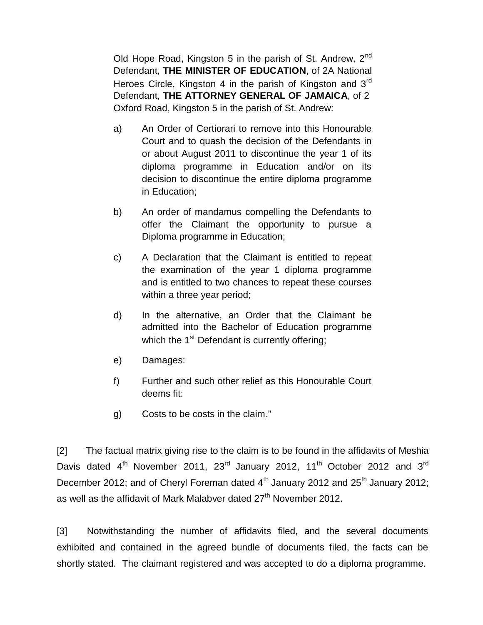Old Hope Road, Kingston 5 in the parish of St. Andrew,  $2<sup>nd</sup>$ Defendant, **THE MINISTER OF EDUCATION**, of 2A National Heroes Circle, Kingston 4 in the parish of Kingston and 3<sup>rd</sup> Defendant, **THE ATTORNEY GENERAL OF JAMAICA**, of 2 Oxford Road, Kingston 5 in the parish of St. Andrew:

- a) An Order of Certiorari to remove into this Honourable Court and to quash the decision of the Defendants in or about August 2011 to discontinue the year 1 of its diploma programme in Education and/or on its decision to discontinue the entire diploma programme in Education;
- b) An order of mandamus compelling the Defendants to offer the Claimant the opportunity to pursue a Diploma programme in Education;
- c) A Declaration that the Claimant is entitled to repeat the examination of the year 1 diploma programme and is entitled to two chances to repeat these courses within a three year period;
- d) In the alternative, an Order that the Claimant be admitted into the Bachelor of Education programme which the  $1<sup>st</sup>$  Defendant is currently offering;
- e) Damages:
- f) Further and such other relief as this Honourable Court deems fit:
- g) Costs to be costs in the claim."

[2] The factual matrix giving rise to the claim is to be found in the affidavits of Meshia Davis dated  $4<sup>th</sup>$  November 2011, 23<sup>rd</sup> January 2012, 11<sup>th</sup> October 2012 and 3<sup>rd</sup> December 2012; and of Cheryl Foreman dated  $4<sup>th</sup>$  January 2012 and 25<sup>th</sup> January 2012; as well as the affidavit of Mark Malabver dated  $27<sup>th</sup>$  November 2012.

[3] Notwithstanding the number of affidavits filed, and the several documents exhibited and contained in the agreed bundle of documents filed, the facts can be shortly stated. The claimant registered and was accepted to do a diploma programme.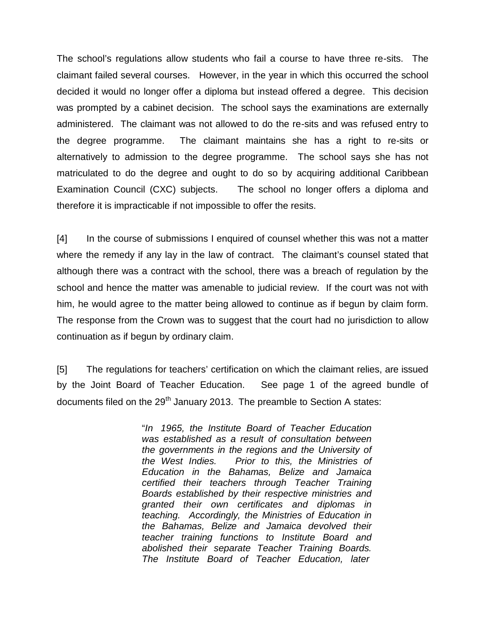The school's regulations allow students who fail a course to have three re-sits. The claimant failed several courses. However, in the year in which this occurred the school decided it would no longer offer a diploma but instead offered a degree. This decision was prompted by a cabinet decision. The school says the examinations are externally administered. The claimant was not allowed to do the re-sits and was refused entry to the degree programme. The claimant maintains she has a right to re-sits or alternatively to admission to the degree programme. The school says she has not matriculated to do the degree and ought to do so by acquiring additional Caribbean Examination Council (CXC) subjects. The school no longer offers a diploma and therefore it is impracticable if not impossible to offer the resits.

[4] In the course of submissions I enquired of counsel whether this was not a matter where the remedy if any lay in the law of contract. The claimant's counsel stated that although there was a contract with the school, there was a breach of regulation by the school and hence the matter was amenable to judicial review. If the court was not with him, he would agree to the matter being allowed to continue as if begun by claim form. The response from the Crown was to suggest that the court had no jurisdiction to allow continuation as if begun by ordinary claim.

[5] The regulations for teachers' certification on which the claimant relies, are issued by the Joint Board of Teacher Education. See page 1 of the agreed bundle of documents filed on the  $29<sup>th</sup>$  January 2013. The preamble to Section A states:

> "*In 1965, the Institute Board of Teacher Education was established as a result of consultation between the governments in the regions and the University of the West Indies. Prior to this, the Ministries of Education in the Bahamas, Belize and Jamaica certified their teachers through Teacher Training Boards established by their respective ministries and granted their own certificates and diplomas in teaching. Accordingly, the Ministries of Education in the Bahamas, Belize and Jamaica devolved their teacher training functions to Institute Board and abolished their separate Teacher Training Boards. The Institute Board of Teacher Education, later*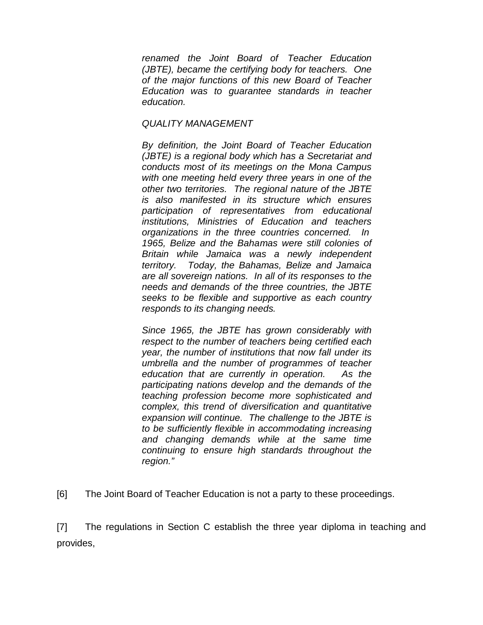*renamed the Joint Board of Teacher Education (JBTE), became the certifying body for teachers. One of the major functions of this new Board of Teacher Education was to guarantee standards in teacher education.*

#### *QUALITY MANAGEMENT*

*By definition, the Joint Board of Teacher Education (JBTE) is a regional body which has a Secretariat and conducts most of its meetings on the Mona Campus with one meeting held every three years in one of the other two territories. The regional nature of the JBTE is also manifested in its structure which ensures participation of representatives from educational institutions, Ministries of Education and teachers organizations in the three countries concerned. In 1965, Belize and the Bahamas were still colonies of Britain while Jamaica was a newly independent territory. Today, the Bahamas, Belize and Jamaica are all sovereign nations. In all of its responses to the needs and demands of the three countries, the JBTE seeks to be flexible and supportive as each country responds to its changing needs.*

*Since 1965, the JBTE has grown considerably with respect to the number of teachers being certified each year, the number of institutions that now fall under its umbrella and the number of programmes of teacher education that are currently in operation. As the participating nations develop and the demands of the teaching profession become more sophisticated and complex, this trend of diversification and quantitative expansion will continue. The challenge to the JBTE is to be sufficiently flexible in accommodating increasing and changing demands while at the same time continuing to ensure high standards throughout the region."*

[6] The Joint Board of Teacher Education is not a party to these proceedings.

[7] The regulations in Section C establish the three year diploma in teaching and provides,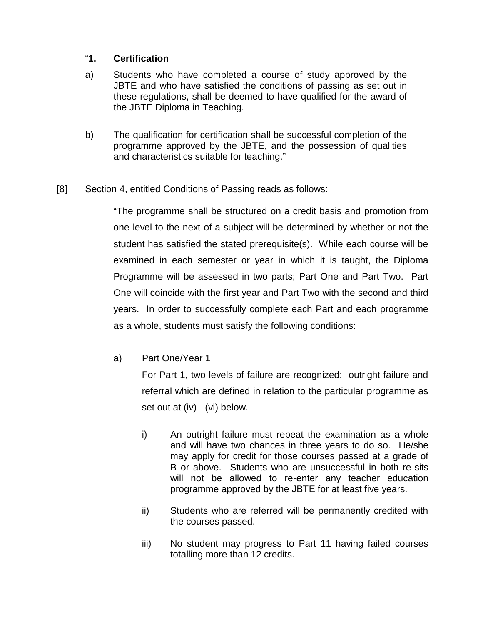# "**1. Certification**

- a) Students who have completed a course of study approved by the JBTE and who have satisfied the conditions of passing as set out in these regulations, shall be deemed to have qualified for the award of the JBTE Diploma in Teaching.
- b) The qualification for certification shall be successful completion of the programme approved by the JBTE, and the possession of qualities and characteristics suitable for teaching."

# [8] Section 4, entitled Conditions of Passing reads as follows:

"The programme shall be structured on a credit basis and promotion from one level to the next of a subject will be determined by whether or not the student has satisfied the stated prerequisite(s). While each course will be examined in each semester or year in which it is taught, the Diploma Programme will be assessed in two parts; Part One and Part Two. Part One will coincide with the first year and Part Two with the second and third years. In order to successfully complete each Part and each programme as a whole, students must satisfy the following conditions:

a) Part One/Year 1

For Part 1, two levels of failure are recognized: outright failure and referral which are defined in relation to the particular programme as set out at (iv) - (vi) below.

- i) An outright failure must repeat the examination as a whole and will have two chances in three years to do so. He/she may apply for credit for those courses passed at a grade of B or above. Students who are unsuccessful in both re-sits will not be allowed to re-enter any teacher education programme approved by the JBTE for at least five years.
- ii) Students who are referred will be permanently credited with the courses passed.
- iii) No student may progress to Part 11 having failed courses totalling more than 12 credits.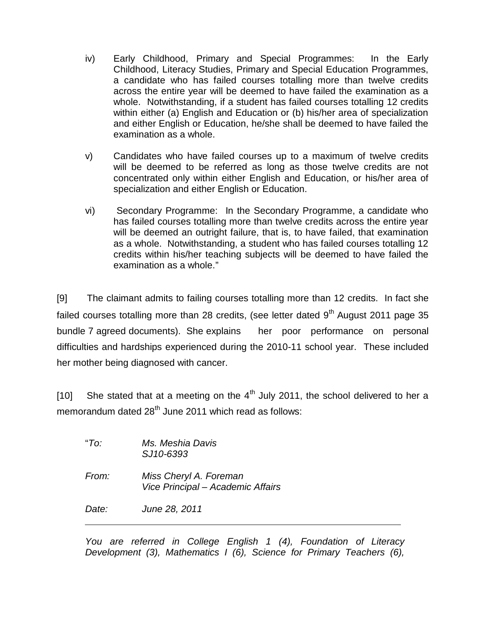- iv) Early Childhood, Primary and Special Programmes: In the Early Childhood, Literacy Studies, Primary and Special Education Programmes, a candidate who has failed courses totalling more than twelve credits across the entire year will be deemed to have failed the examination as a whole. Notwithstanding, if a student has failed courses totalling 12 credits within either (a) English and Education or (b) his/her area of specialization and either English or Education, he/she shall be deemed to have failed the examination as a whole.
- v) Candidates who have failed courses up to a maximum of twelve credits will be deemed to be referred as long as those twelve credits are not concentrated only within either English and Education, or his/her area of specialization and either English or Education.
- vi) Secondary Programme: In the Secondary Programme, a candidate who has failed courses totalling more than twelve credits across the entire year will be deemed an outright failure, that is, to have failed, that examination as a whole. Notwithstanding, a student who has failed courses totalling 12 credits within his/her teaching subjects will be deemed to have failed the examination as a whole."

[9] The claimant admits to failing courses totalling more than 12 credits. In fact she failed courses totalling more than 28 credits, (see letter dated  $9<sup>th</sup>$  August 2011 page 35 bundle 7 agreed documents). She explains her poor performance on personal difficulties and hardships experienced during the 2010-11 school year. These included her mother being diagnosed with cancer.

[10] She stated that at a meeting on the  $4<sup>th</sup>$  July 2011, the school delivered to her a memorandum dated  $28<sup>th</sup>$  June 2011 which read as follows:

| "To:  | Ms. Meshia Davis<br>SJ10-6393                               |  |
|-------|-------------------------------------------------------------|--|
| From: | Miss Cheryl A. Foreman<br>Vice Principal - Academic Affairs |  |
| Date: | June 28, 2011                                               |  |

*You are referred in College English 1 (4), Foundation of Literacy Development (3), Mathematics I (6), Science for Primary Teachers (6),*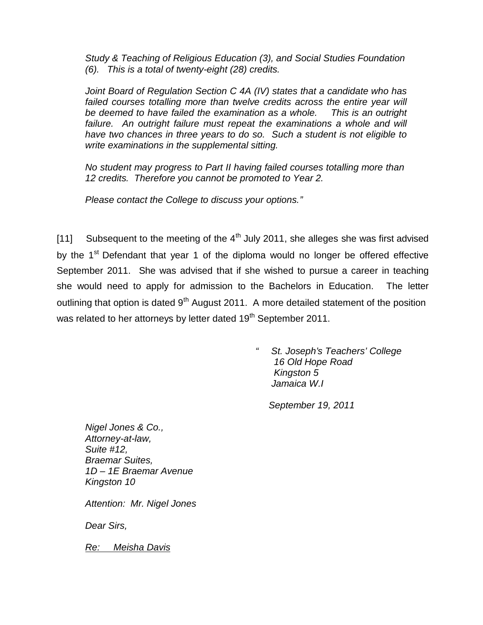*Study & Teaching of Religious Education (3), and Social Studies Foundation (6). This is a total of twenty-eight (28) credits.*

*Joint Board of Regulation Section C 4A (IV) states that a candidate who has failed courses totalling more than twelve credits across the entire year will be deemed to have failed the examination as a whole. This is an outright failure. An outright failure must repeat the examinations a whole and will have two chances in three years to do so. Such a student is not eligible to write examinations in the supplemental sitting.*

*No student may progress to Part II having failed courses totalling more than 12 credits. Therefore you cannot be promoted to Year 2.* 

*Please contact the College to discuss your options."*

[11] Subsequent to the meeting of the  $4<sup>th</sup>$  July 2011, she alleges she was first advised by the 1<sup>st</sup> Defendant that year 1 of the diploma would no longer be offered effective September 2011. She was advised that if she wished to pursue a career in teaching she would need to apply for admission to the Bachelors in Education. The letter outlining that option is dated 9<sup>th</sup> August 2011. A more detailed statement of the position was related to her attorneys by letter dated 19<sup>th</sup> September 2011.

> *" St. Joseph's Teachers' College 16 Old Hope Road Kingston 5 Jamaica W.I*

*September 19, 2011*

*Nigel Jones & Co., Attorney-at-law, Suite #12, Braemar Suites, 1D – 1E Braemar Avenue Kingston 10*

*Attention: Mr. Nigel Jones*

*Dear Sirs,*

*Re: Meisha Davis*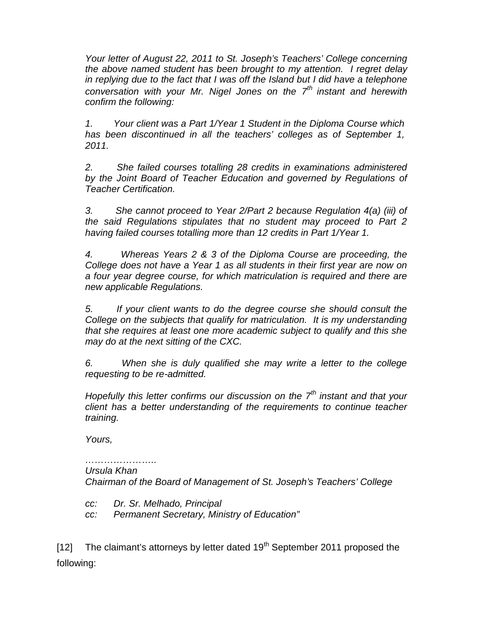*Your letter of August 22, 2011 to St. Joseph's Teachers' College concerning the above named student has been brought to my attention. I regret delay in replying due to the fact that I was off the Island but I did have a telephone conversation with your Mr. Nigel Jones on the 7th instant and herewith confirm the following:*

*1. Your client was a Part 1/Year 1 Student in the Diploma Course which has been discontinued in all the teachers' colleges as of September 1, 2011.*

*2. She failed courses totalling 28 credits in examinations administered by the Joint Board of Teacher Education and governed by Regulations of Teacher Certification.*

*3. She cannot proceed to Year 2/Part 2 because Regulation 4(a) (iii) of the said Regulations stipulates that no student may proceed to Part 2 having failed courses totalling more than 12 credits in Part 1/Year 1.*

*4. Whereas Years 2 & 3 of the Diploma Course are proceeding, the College does not have a Year 1 as all students in their first year are now on a four year degree course, for which matriculation is required and there are new applicable Regulations.*

*5. If your client wants to do the degree course she should consult the College on the subjects that qualify for matriculation. It is my understanding that she requires at least one more academic subject to qualify and this she may do at the next sitting of the CXC.*

*6. When she is duly qualified she may write a letter to the college requesting to be re-admitted.*

*Hopefully this letter confirms our discussion on the 7th instant and that your client has a better understanding of the requirements to continue teacher training.*

*Yours,*

#### *………………….. Ursula Khan*

*Chairman of the Board of Management of St. Joseph's Teachers' College*

*cc: Dr. Sr. Melhado, Principal*

*cc: Permanent Secretary, Ministry of Education"*

[12] The claimant's attorneys by letter dated  $19<sup>th</sup>$  September 2011 proposed the following: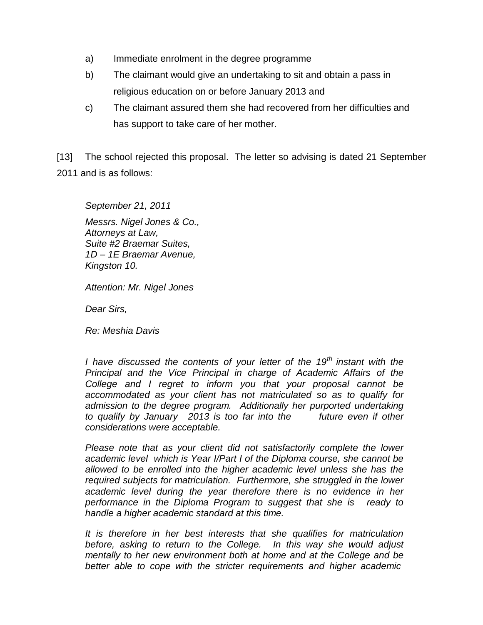- a) Immediate enrolment in the degree programme
- b) The claimant would give an undertaking to sit and obtain a pass in religious education on or before January 2013 and
- c) The claimant assured them she had recovered from her difficulties and has support to take care of her mother.

[13] The school rejected this proposal. The letter so advising is dated 21 September 2011 and is as follows:

*September 21, 2011 Messrs. Nigel Jones & Co., Attorneys at Law, Suite #2 Braemar Suites, 1D – 1E Braemar Avenue, Kingston 10.*

*Attention: Mr. Nigel Jones*

*Dear Sirs,*

*Re: Meshia Davis*

*I have discussed the contents of your letter of the 19th instant with the Principal and the Vice Principal in charge of Academic Affairs of the College and I regret to inform you that your proposal cannot be accommodated as your client has not matriculated so as to qualify for admission to the degree program. Additionally her purported undertaking to qualify by January 2013 is too far into the future even if other considerations were acceptable.*

*Please note that as your client did not satisfactorily complete the lower academic level which is Year I/Part I of the Diploma course, she cannot be allowed to be enrolled into the higher academic level unless she has the required subjects for matriculation. Furthermore, she struggled in the lower academic level during the year therefore there is no evidence in her performance in the Diploma Program to suggest that she is ready to handle a higher academic standard at this time.*

*It is therefore in her best interests that she qualifies for matriculation before, asking to return to the College. In this way she would adjust mentally to her new environment both at home and at the College and be better able to cope with the stricter requirements and higher academic*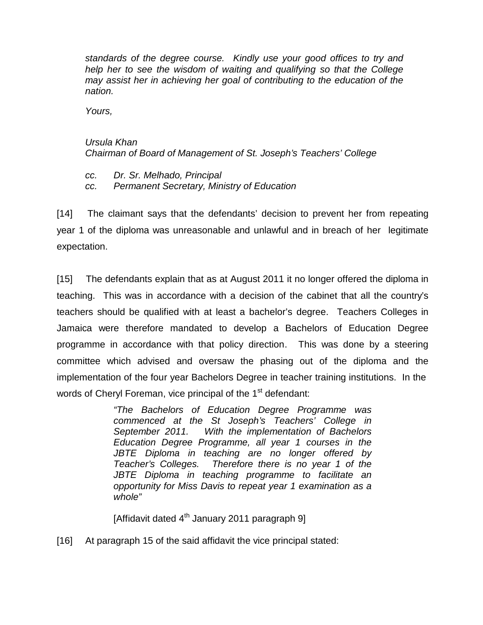*standards of the degree course. Kindly use your good offices to try and help her to see the wisdom of waiting and qualifying so that the College may assist her in achieving her goal of contributing to the education of the nation.*

*Yours,*

# *Ursula Khan Chairman of Board of Management of St. Joseph's Teachers' College*

*cc. Dr. Sr. Melhado, Principal cc. Permanent Secretary, Ministry of Education*

[14] The claimant says that the defendants' decision to prevent her from repeating year 1 of the diploma was unreasonable and unlawful and in breach of her legitimate expectation.

[15] The defendants explain that as at August 2011 it no longer offered the diploma in teaching. This was in accordance with a decision of the cabinet that all the country's teachers should be qualified with at least a bachelor's degree. Teachers Colleges in Jamaica were therefore mandated to develop a Bachelors of Education Degree programme in accordance with that policy direction. This was done by a steering committee which advised and oversaw the phasing out of the diploma and the implementation of the four year Bachelors Degree in teacher training institutions. In the words of Cheryl Foreman, vice principal of the 1<sup>st</sup> defendant:

> *"The Bachelors of Education Degree Programme was commenced at the St Joseph's Teachers' College in September 2011. With the implementation of Bachelors Education Degree Programme, all year 1 courses in the JBTE Diploma in teaching are no longer offered by Teacher's Colleges. Therefore there is no year 1 of the JBTE Diploma in teaching programme to facilitate an opportunity for Miss Davis to repeat year 1 examination as a whole"*

[Affidavit dated 4<sup>th</sup> January 2011 paragraph 9]

[16] At paragraph 15 of the said affidavit the vice principal stated: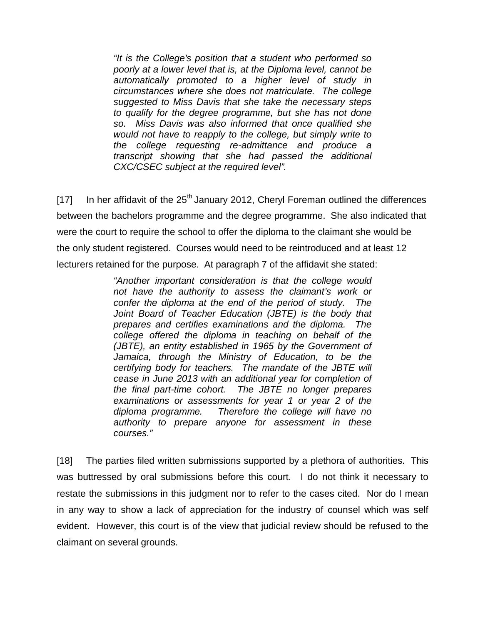*"It is the College's position that a student who performed so poorly at a lower level that is, at the Diploma level, cannot be automatically promoted to a higher level of study in circumstances where she does not matriculate. The college suggested to Miss Davis that she take the necessary steps to qualify for the degree programme, but she has not done so. Miss Davis was also informed that once qualified she would not have to reapply to the college, but simply write to the college requesting re-admittance and produce a transcript showing that she had passed the additional CXC/CSEC subject at the required level".*

[17] In her affidavit of the  $25<sup>th</sup>$  January 2012, Cheryl Foreman outlined the differences between the bachelors programme and the degree programme. She also indicated that were the court to require the school to offer the diploma to the claimant she would be the only student registered. Courses would need to be reintroduced and at least 12 lecturers retained for the purpose. At paragraph 7 of the affidavit she stated:

> *"Another important consideration is that the college would not have the authority to assess the claimant's work or confer the diploma at the end of the period of study. The Joint Board of Teacher Education (JBTE) is the body that prepares and certifies examinations and the diploma. The college offered the diploma in teaching on behalf of the (JBTE), an entity established in 1965 by the Government of Jamaica, through the Ministry of Education, to be the certifying body for teachers. The mandate of the JBTE will cease in June 2013 with an additional year for completion of the final part-time cohort. The JBTE no longer prepares examinations or assessments for year 1 or year 2 of the diploma programme. Therefore the college will have no authority to prepare anyone for assessment in these courses."*

[18] The parties filed written submissions supported by a plethora of authorities. This was buttressed by oral submissions before this court. I do not think it necessary to restate the submissions in this judgment nor to refer to the cases cited. Nor do I mean in any way to show a lack of appreciation for the industry of counsel which was self evident. However, this court is of the view that judicial review should be refused to the claimant on several grounds.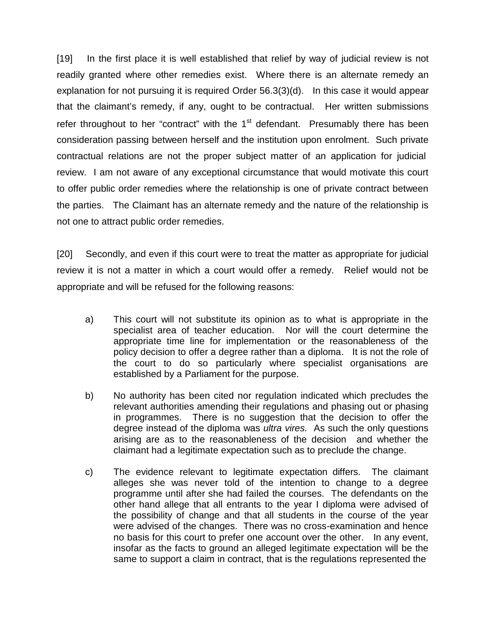[19] In the first place it is well established that relief by way of judicial review is not readily granted where other remedies exist. Where there is an alternate remedy an explanation for not pursuing it is required Order 56.3(3)(d). In this case it would appear that the claimant's remedy, if any, ought to be contractual. Her written submissions refer throughout to her "contract" with the  $1<sup>st</sup>$  defendant. Presumably there has been consideration passing between herself and the institution upon enrolment. Such private contractual relations are not the proper subject matter of an application for judicial review. I am not aware of any exceptional circumstance that would motivate this court to offer public order remedies where the relationship is one of private contract between the parties. The Claimant has an alternate remedy and the nature of the relationship is not one to attract public order remedies.

[20] Secondly, and even if this court were to treat the matter as appropriate for judicial review it is not a matter in which a court would offer a remedy. Relief would not be appropriate and will be refused for the following reasons:

- a) This court will not substitute its opinion as to what is appropriate in the specialist area of teacher education. Nor will the court determine the appropriate time line for implementation or the reasonableness of the policy decision to offer a degree rather than a diploma. It is not the role of the court to do so particularly where specialist organisations are established by a Parliament for the purpose.
- b) No authority has been cited nor regulation indicated which precludes the relevant authorities amending their regulations and phasing out or phasing in programmes. There is no suggestion that the decision to offer the degree instead of the diploma was *ultra vires.* As such the only questions arising are as to the reasonableness of the decision and whether the claimant had a legitimate expectation such as to preclude the change.
- c) The evidence relevant to legitimate expectation differs. The claimant alleges she was never told of the intention to change to a degree programme until after she had failed the courses. The defendants on the other hand allege that all entrants to the year I diploma were advised of the possibility of change and that all students in the course of the year were advised of the changes. There was no cross-examination and hence no basis for this court to prefer one account over the other. In any event, insofar as the facts to ground an alleged legitimate expectation will be the same to support a claim in contract, that is the regulations represented the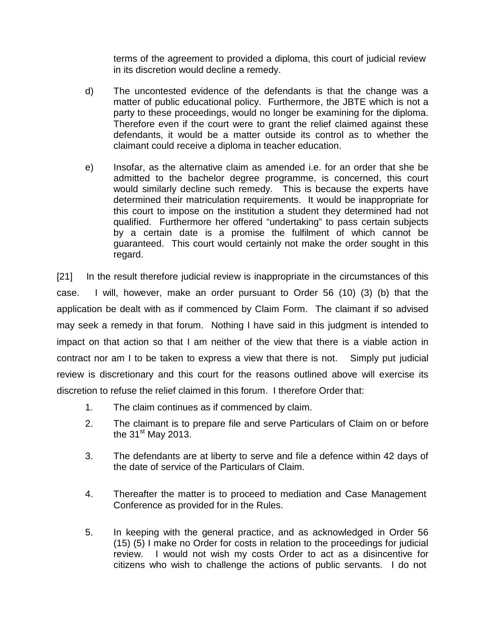terms of the agreement to provided a diploma, this court of judicial review in its discretion would decline a remedy.

- d) The uncontested evidence of the defendants is that the change was a matter of public educational policy. Furthermore, the JBTE which is not a party to these proceedings, would no longer be examining for the diploma. Therefore even if the court were to grant the relief claimed against these defendants, it would be a matter outside its control as to whether the claimant could receive a diploma in teacher education.
- e) Insofar, as the alternative claim as amended i.e. for an order that she be admitted to the bachelor degree programme, is concerned, this court would similarly decline such remedy. This is because the experts have determined their matriculation requirements. It would be inappropriate for this court to impose on the institution a student they determined had not qualified. Furthermore her offered "undertaking" to pass certain subjects by a certain date is a promise the fulfilment of which cannot be guaranteed. This court would certainly not make the order sought in this regard.

[21] In the result therefore judicial review is inappropriate in the circumstances of this case. I will, however, make an order pursuant to Order 56 (10) (3) (b) that the application be dealt with as if commenced by Claim Form. The claimant if so advised may seek a remedy in that forum. Nothing I have said in this judgment is intended to impact on that action so that I am neither of the view that there is a viable action in contract nor am I to be taken to express a view that there is not. Simply put judicial review is discretionary and this court for the reasons outlined above will exercise its discretion to refuse the relief claimed in this forum. I therefore Order that:

- 1. The claim continues as if commenced by claim.
- 2. The claimant is to prepare file and serve Particulars of Claim on or before the  $31<sup>st</sup>$  May 2013.
- 3. The defendants are at liberty to serve and file a defence within 42 days of the date of service of the Particulars of Claim.
- 4. Thereafter the matter is to proceed to mediation and Case Management Conference as provided for in the Rules.
- 5. In keeping with the general practice, and as acknowledged in Order 56 (15) (5) I make no Order for costs in relation to the proceedings for judicial review. I would not wish my costs Order to act as a disincentive for citizens who wish to challenge the actions of public servants. I do not